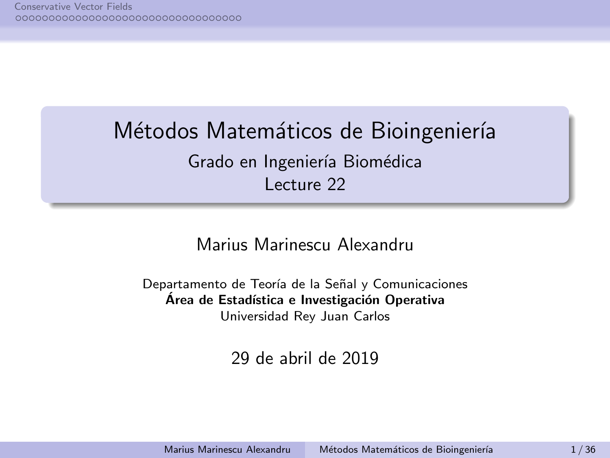# <span id="page-0-0"></span>Métodos Matemáticos de Bioingeniería

Grado en Ingeniería Biomédica Lecture 22

## Marius Marinescu Alexandru

Departamento de Teoría de la Señal y Comunicaciones Área de Estadística e Investigación Operativa Universidad Rey Juan Carlos

29 de abril de 2019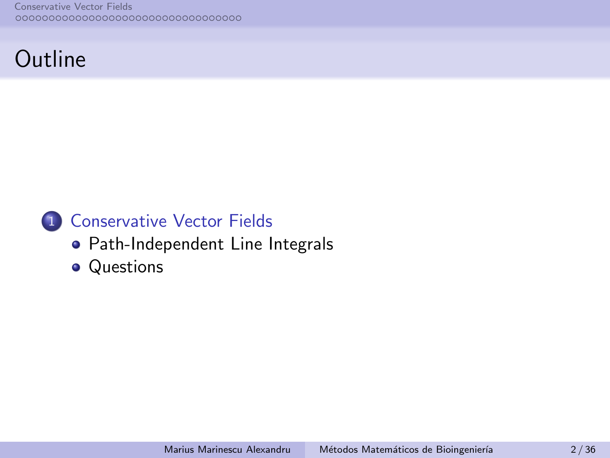# **Outline**

# 1 [Conservative Vector Fields](#page-2-0)

- [Path-Independent Line Integrals](#page-2-0)
- [Questions](#page-17-0)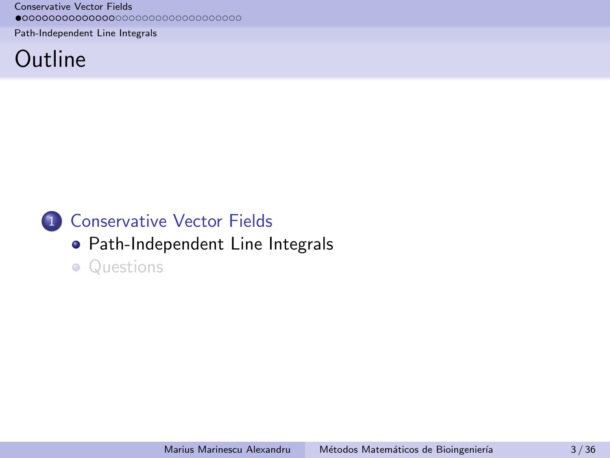<span id="page-2-0"></span>[Path-Independent Line Integrals](#page-2-0)

# **Outline**

# 1 [Conservative Vector Fields](#page-2-0)

# [Path-Independent Line Integrals](#page-2-0)

• [Questions](#page-17-0)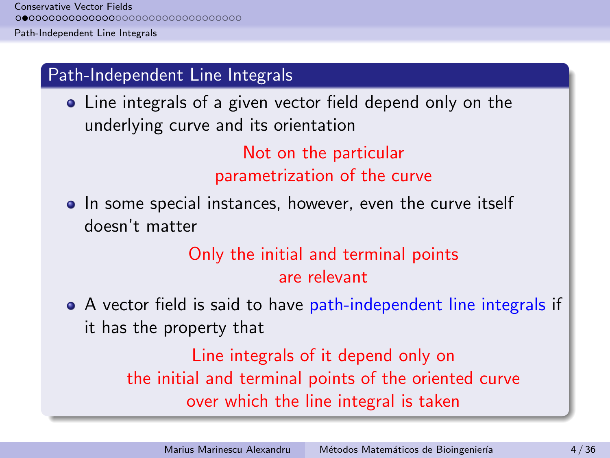[Path-Independent Line Integrals](#page-2-0)

# Path-Independent Line Integrals

• Line integrals of a given vector field depend only on the underlying curve and its orientation

> Not on the particular parametrization of the curve

• In some special instances, however, even the curve itself doesn't matter

# Only the initial and terminal points are relevant

A vector field is said to have path-independent line integrals if it has the property that

> Line integrals of it depend only on the initial and terminal points of the oriented curve over which the line integral is taken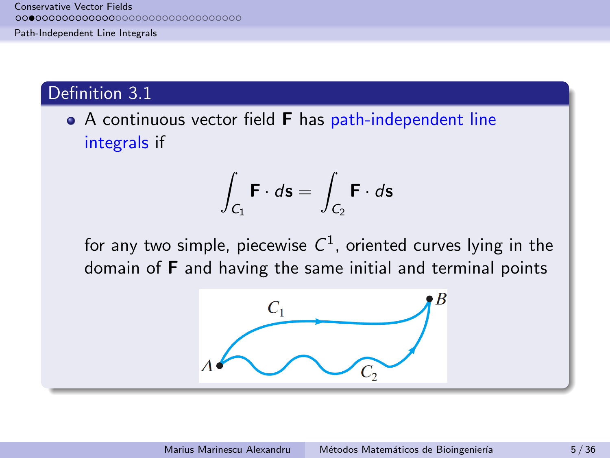[Path-Independent Line Integrals](#page-2-0)

### Definition 3.1

• A continuous vector field **F** has path-independent line integrals if

$$
\int_{C_1} \mathbf{F} \cdot d\mathbf{s} = \int_{C_2} \mathbf{F} \cdot d\mathbf{s}
$$

for any two simple, piecewise  $C^1$ , oriented curves lying in the domain of F and having the same initial and terminal points

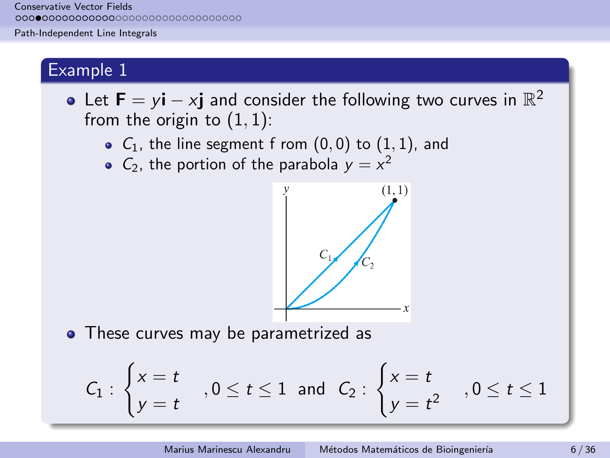[Path-Independent Line Integrals](#page-2-0)

### Example 1

- Let  $\mathbf{F} = y\mathbf{i} x\mathbf{j}$  and consider the following two curves in  $\mathbb{R}^2$ from the origin to  $(1, 1)$ :
	- $\bullet$   $C_1$ , the line segment f rom  $(0,0)$  to  $(1,1)$ , and
	- $C_2$ , the portion of the parabola  $y = x^2$



• These curves may be parametrized as

$$
C_1: \begin{cases} x = t \\ y = t \end{cases}, 0 \le t \le 1 \text{ and } C_2: \begin{cases} x = t \\ y = t^2 \end{cases}, 0 \le t \le 1
$$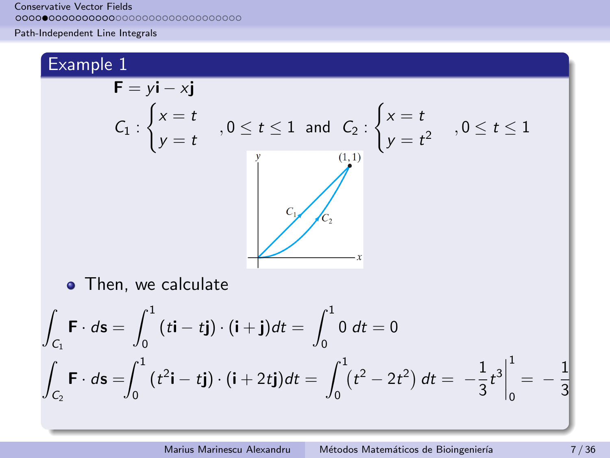[Path-Independent Line Integrals](#page-2-0)

# Example 1

Z

Z

$$
\mathbf{F} = y\mathbf{i} - x\mathbf{j}
$$
\n
$$
C_1 : \begin{cases} x = t \\ y = t \end{cases}, 0 \le t \le 1 \text{ and } C_2 : \begin{cases} x = t \\ y = t^2 \end{cases}, 0 \le t \le 1
$$
\n
$$
\begin{cases} \n\text{(1,1)} \\ \n\text{(2,2)} \n\end{cases}
$$
\n
$$
\mathbf{F} \cdot d\mathbf{s} = \int_0^1 (t\mathbf{i} - t\mathbf{j}) \cdot (\mathbf{i} + \mathbf{j}) dt = \int_0^1 0 dt = 0
$$
\n
$$
\int_{C_2} \mathbf{F} \cdot d\mathbf{s} = \int_0^1 (t^2\mathbf{i} - t\mathbf{j}) \cdot (\mathbf{i} + 2t\mathbf{j}) dt = \int_0^1 (t^2 - 2t^2) dt = -\frac{1}{3}t^3 \Big|_0^1 = -\frac{1}{3}t^3
$$

1 3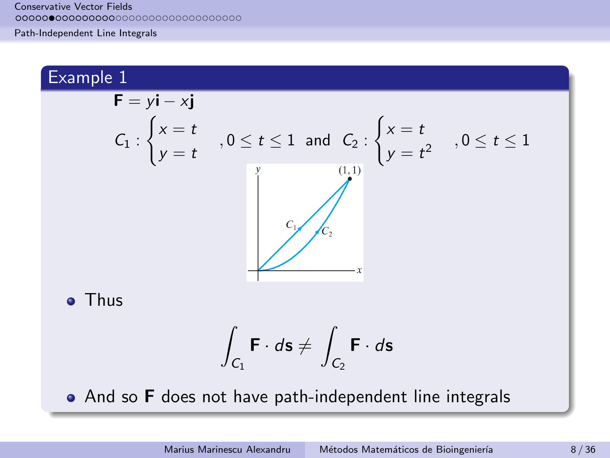[Path-Independent Line Integrals](#page-2-0)

# Example 1  $\mathbf{F} = y\mathbf{i} - x\mathbf{j}$  $\int x = t$  $\int x = t$  $C_1$ :  $y = t$ ,  $0 \le t \le 1$  and  $C_2$ :  $y = t^2$ ,  $0 \le t \le 1$  $(1,1)$ **•** Thus  $\mathbf{r}$

$$
\int_{C_1} \mathbf{F} \cdot d\mathbf{s} \neq \int_{C_2} \mathbf{F} \cdot d\mathbf{s}
$$

• And so **F** does not have path-independent line integrals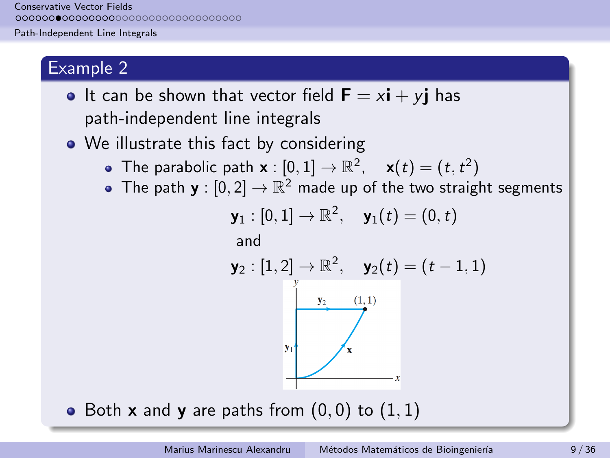[Path-Independent Line Integrals](#page-2-0)

## Example 2

- It can be shown that vector field  $\mathbf{F} = x\mathbf{i} + y\mathbf{j}$  has path-independent line integrals
- We illustrate this fact by considering
	- The parabolic path  $\mathbf{x} : [0,1] \to \mathbb{R}^2$ ,  $\mathbf{x}(t) = (t, t^2)$
	- The path  $\mathbf{y}:[0,2]\to\mathbb{R}^2$  made up of the two straight segments

$$
\mathbf{y}_1:[0,1]\rightarrow\mathbb{R}^2, \quad \mathbf{y}_1(t)=(0,t)
$$
  
and  

$$
\mathbf{y}_2:[1,2]\rightarrow\mathbb{R}^2, \quad \mathbf{y}_2(t)=(t-1,1)
$$

• Both **x** and **y** are paths from  $(0,0)$  to  $(1,1)$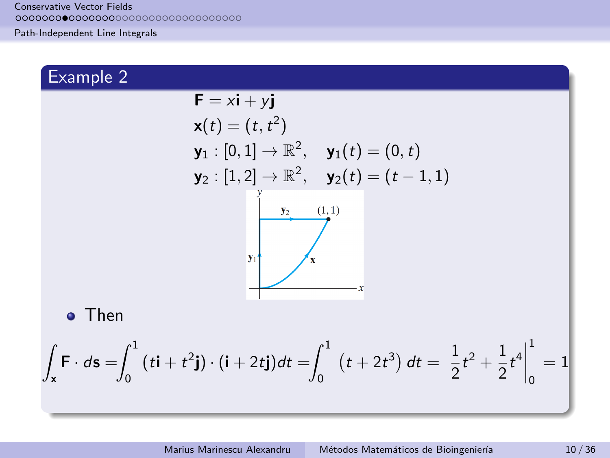[Path-Independent Line Integrals](#page-2-0)

# Example 2

Z

$$
\mathbf{F} = x\mathbf{i} + y\mathbf{j}
$$
  
\n
$$
\mathbf{x}(t) = (t, t^2)
$$
  
\n
$$
\mathbf{y}_1 : [0, 1] \to \mathbb{R}^2, \quad \mathbf{y}_1(t) = (0, t)
$$
  
\n
$$
\mathbf{y}_2 : [1, 2] \to \mathbb{R}^2, \quad \mathbf{y}_2(t) = (t - 1, 1)
$$
  
\n
$$
\begin{array}{c}\n\mathbf{y}_2 \quad (1, 1) \\
\hline\n\mathbf{y}_2 \quad (1, 1) \\
\hline\n\mathbf{y}_3 \quad (1, 1) \\
\hline\n\mathbf{y}_4\n\end{array}
$$
  
\n
$$
\mathbf{v}_1 \quad \mathbf{y}_2 \quad (1, 1) \quad \mathbf{y}_3
$$
  
\n
$$
\mathbf{v}_3 \quad \mathbf{y}_4
$$
  
\n
$$
\mathbf{v}_5
$$
  
\n
$$
\mathbf{v}_6
$$
  
\nThen  
\n
$$
\mathbf{F} \cdot d\mathbf{s} = \int_0^1 (t\mathbf{i} + t^2\mathbf{j}) \cdot (\mathbf{i} + 2t\mathbf{j}) dt = \int_0^1 (t + 2t^3) dt = \left[ \frac{1}{2}t^2 + \frac{1}{2}t^4 \right]_0^1 = 1
$$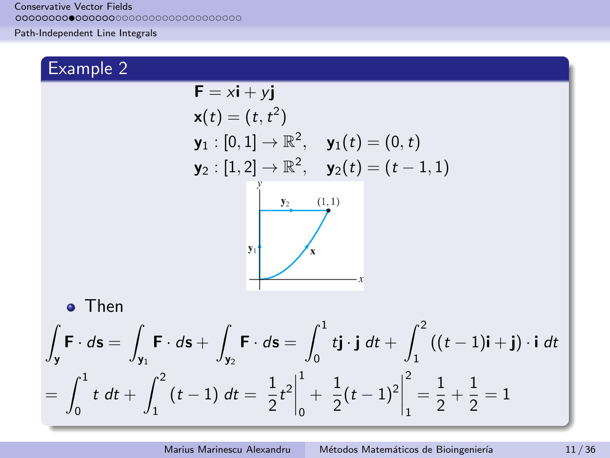[Path-Independent Line Integrals](#page-2-0)

# Example 2

Then

Z y

$$
\mathbf{F} = x\mathbf{i} + y\mathbf{j}
$$
\n
$$
\mathbf{x}(t) = (t, t^2)
$$
\n
$$
\mathbf{y}_1 : [0, 1] \rightarrow \mathbb{R}^2, \quad \mathbf{y}_1(t) = (0, t)
$$
\n
$$
\mathbf{y}_2 : [1, 2] \rightarrow \mathbb{R}^2, \quad \mathbf{y}_2(t) = (t - 1, 1)
$$
\n
$$
\begin{array}{ccc}\n\mathbf{y}_2 & (1, 1) \\
\hline\n\mathbf{y}_1 & \mathbf{x}\n\end{array}
$$
\n
$$
\mathbf{v}_1
$$
\n
$$
\mathbf{v}_2
$$
\n
$$
\mathbf{v}_3
$$
\n
$$
\mathbf{v}_4
$$
\n
$$
\mathbf{v}_5
$$
\n
$$
\mathbf{v}_6
$$
\n
$$
\mathbf{v}_7
$$
\n
$$
\mathbf{v}_8
$$
\n
$$
\mathbf{v}_9
$$
\n
$$
\mathbf{v}_1
$$
\n
$$
\mathbf{v}_2
$$
\n
$$
\mathbf{v}_3
$$
\n
$$
\mathbf{v}_4
$$
\n
$$
\mathbf{v}_5
$$
\n
$$
\mathbf{v}_6
$$
\n
$$
\mathbf{v}_7
$$
\n
$$
\mathbf{v}_8
$$
\n
$$
\mathbf{v}_9
$$
\n
$$
\mathbf{v}_1
$$
\n
$$
\mathbf{v}_2
$$
\n
$$
\mathbf{v}_3
$$
\n
$$
\mathbf{v}_4
$$
\n
$$
\mathbf{v}_5
$$
\n
$$
\mathbf{v}_6
$$
\n
$$
\mathbf{v}_7
$$
\n
$$
\mathbf{v}_8
$$
\n
$$
\mathbf{v}_9
$$
\n
$$
\mathbf{v}_9
$$
\n
$$
\mathbf{v}_9
$$
\n
$$
\mathbf{v}_9
$$
\n
$$
\mathbf{v}_9
$$
\n
$$
\mathbf{v}_9
$$
\n
$$
\mathbf{v}_9
$$
\n
$$
\mathbf{v}_9
$$
\n
$$
\mathbf{v}_9
$$

$$
= \int_0^1 t \, dt + \int_1^2 (t-1) \, dt = \left. \frac{1}{2} t^2 \right|_0^1 + \left. \frac{1}{2} (t-1)^2 \right|_1^2 = \frac{1}{2} + \frac{1}{2} = 1
$$

 $idt$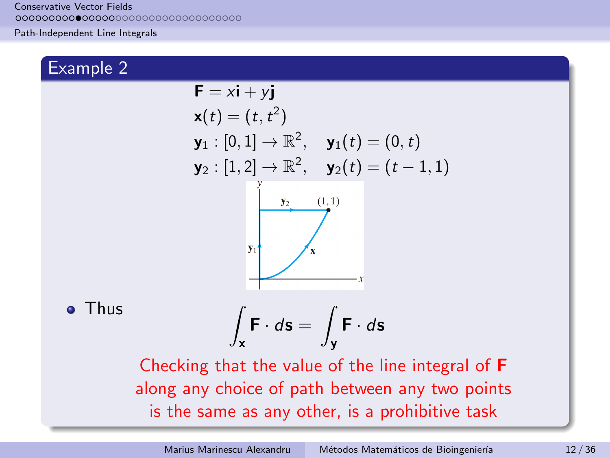[Path-Independent Line Integrals](#page-2-0)

# Example 2

o Thus

$$
F = xi + yj
$$
  
\n
$$
x(t) = (t, t^2)
$$
  
\n
$$
y_1 : [0, 1] \rightarrow \mathbb{R}^2, \quad y_1(t) = (0, t)
$$
  
\n
$$
y_2 : [1, 2] \rightarrow \mathbb{R}^2, \quad y_2(t) = (t - 1, 1)
$$
  
\n
$$
y_1
$$
  
\n
$$
y_2
$$
  
\n
$$
y_3
$$
  
\n
$$
y_4
$$
  
\n
$$
y_5
$$
  
\n
$$
y_6
$$
  
\n
$$
y_7
$$
  
\n
$$
y_8
$$
  
\n
$$
y_9
$$
  
\n
$$
y_1
$$
  
\n
$$
y_2
$$
  
\n
$$
y_3
$$
  
\n
$$
y_4
$$
  
\n
$$
y_5
$$
  
\n
$$
y_6
$$
  
\n
$$
y_7
$$
  
\n
$$
y_8
$$
  
\n
$$
y_9
$$
  
\n
$$
y_1
$$
  
\n
$$
y_2
$$
  
\n
$$
y_3
$$
  
\n
$$
y_4
$$
  
\n
$$
y_5
$$
  
\n
$$
y_6
$$
  
\n
$$
y_7
$$
  
\n
$$
y_8
$$
  
\n
$$
y_9
$$
  
\n
$$
y_1
$$
  
\n
$$
y_1
$$
  
\n
$$
y_2
$$
  
\n
$$
y_3
$$
  
\n
$$
y_5
$$
  
\n
$$
y_7
$$
  
\n
$$
y_8
$$
  
\n
$$
y_9
$$
  
\n
$$
y_9
$$
  
\n
$$
y_9
$$
  
\n
$$
y_9
$$
  
\n
$$
y_9
$$
  
\n
$$
y_9
$$
  
\n
$$
y_9
$$
  
\n
$$
y_9
$$
  
\n<

is the same as any other, is a prohibitive task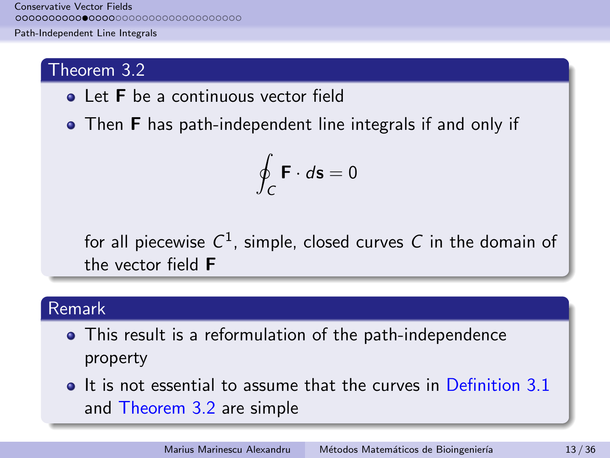[Path-Independent Line Integrals](#page-2-0)

## Theorem 3.2

- **•** Let **F** be a continuous vector field
- Then F has path-independent line integrals if and only if

$$
\oint_C \mathbf{F} \cdot d\mathbf{s} = 0
$$

for all piecewise  $C^1$ , simple, closed curves  $\mathcal C$  in the domain of the vector field F

# Remark

- This result is a reformulation of the path-independence property
- It is not essential to assume that the curves in Definition 3.1 and Theorem 3.2 are simple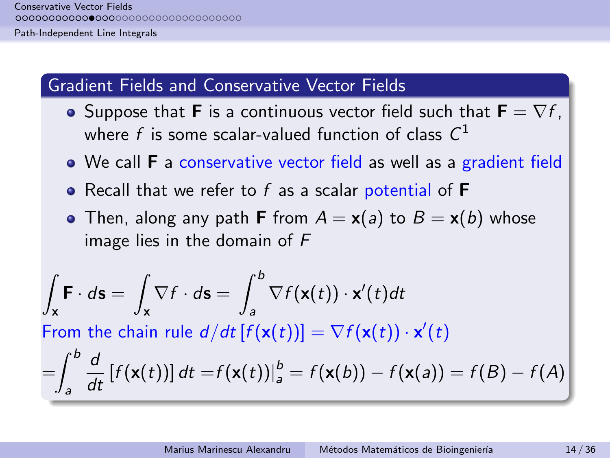[Path-Independent Line Integrals](#page-2-0)

### Gradient Fields and Conservative Vector Fields

- Suppose that **F** is a continuous vector field such that  $\mathbf{F} = \nabla f$ . where  $f$  is some scalar-valued function of class  $\mathcal{C}^1$
- We call **F** a conservative vector field as well as a gradient field
- Recall that we refer to  $f$  as a scalar potential of  $F$
- Then, along any path **F** from  $A = x(a)$  to  $B = x(b)$  whose image lies in the domain of F

$$
\int_{\mathbf{x}} \mathbf{F} \cdot d\mathbf{s} = \int_{\mathbf{x}} \nabla f \cdot d\mathbf{s} = \int_{a}^{b} \nabla f(\mathbf{x}(t)) \cdot \mathbf{x}'(t) dt
$$
\nFrom the chain rule  $d/dt [f(\mathbf{x}(t))] = \nabla f(\mathbf{x}(t)) \cdot \mathbf{x}'(t)$ \n
$$
= \int_{a}^{b} \frac{d}{dt} [f(\mathbf{x}(t))] dt = f(\mathbf{x}(t))]_{a}^{b} = f(\mathbf{x}(b)) - f(\mathbf{x}(a)) = f(B) - f(A)
$$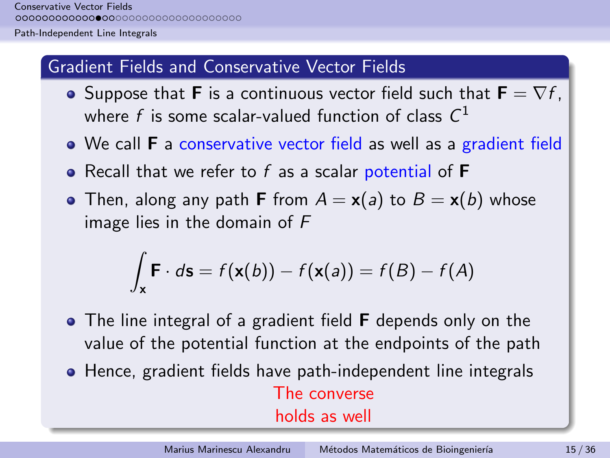[Path-Independent Line Integrals](#page-2-0)

### Gradient Fields and Conservative Vector Fields

- Suppose that **F** is a continuous vector field such that  $\mathbf{F} = \nabla f$ , where  $f$  is some scalar-valued function of class  $\mathcal{C}^1$
- We call **F** a conservative vector field as well as a gradient field
- Recall that we refer to  $f$  as a scalar potential of  $F$
- Then, along any path **F** from  $A = x(a)$  to  $B = x(b)$  whose image lies in the domain of F

$$
\int_{\mathbf{x}} \mathbf{F} \cdot d\mathbf{s} = f(\mathbf{x}(b)) - f(\mathbf{x}(a)) = f(B) - f(A)
$$

- The line integral of a gradient field **F** depends only on the value of the potential function at the endpoints of the path
- Hence, gradient fields have path-independent line integrals The converse

holds as well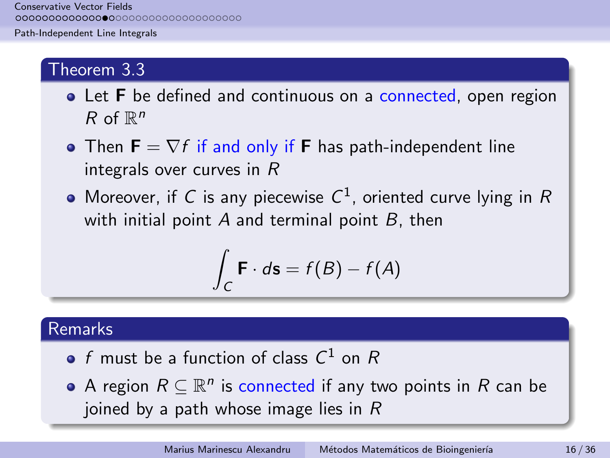[Path-Independent Line Integrals](#page-2-0)

### Theorem 3.3

- Let F be defined and continuous on a connected, open region R of  $\mathbb{R}^n$
- Then  $\mathbf{F} = \nabla f$  if and only if **F** has path-independent line integrals over curves in R
- Moreover, if C is any piecewise  $C^1$ , oriented curve lying in R with initial point  $A$  and terminal point  $B$ , then

$$
\int_C \mathbf{F} \cdot d\mathbf{s} = f(B) - f(A)
$$

## Remarks

- $f$  must be a function of class  $C^1$  on  $R$
- A region  $R \subseteq \mathbb{R}^n$  is connected if any two points in  $R$  can be joined by a path whose image lies in  $R$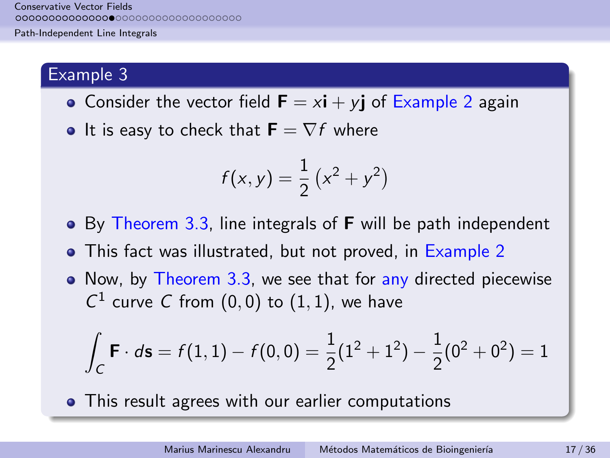[Path-Independent Line Integrals](#page-2-0)

### Example 3

- Consider the vector field  $\mathbf{F} = x\mathbf{i} + y\mathbf{j}$  of Example 2 again
- It is easy to check that  $\mathbf{F} = \nabla f$  where

$$
f(x,y) = \frac{1}{2}(x^2 + y^2)
$$

- By Theorem 3.3, line integrals of **F** will be path independent
- This fact was illustrated, but not proved, in Example 2
- Now, by Theorem 3.3, we see that for any directed piecewise  $C^1$  curve C from  $(0,0)$  to  $(1,1)$ , we have

$$
\int_C \mathbf{F} \cdot d\mathbf{s} = f(1,1) - f(0,0) = \frac{1}{2}(1^2 + 1^2) - \frac{1}{2}(0^2 + 0^2) = 1
$$

• This result agrees with our earlier computations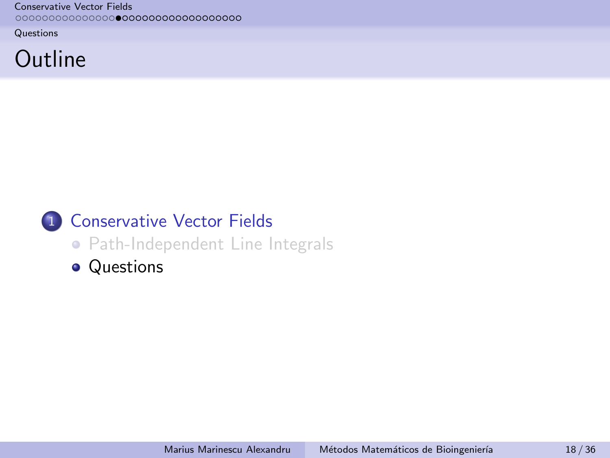<span id="page-17-0"></span>**[Questions](#page-17-0)** 

# **Outline**

# 1 [Conservative Vector Fields](#page-2-0)

- [Path-Independent Line Integrals](#page-2-0)
- **•** [Questions](#page-17-0)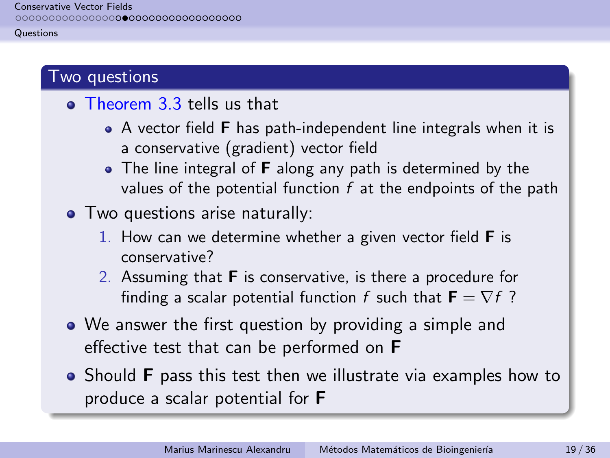#### **[Questions](#page-17-0)**

### Two questions

- **o** Theorem 3.3 tells us that
	- A vector field **F** has path-independent line integrals when it is a conservative (gradient) vector field
	- The line integral of **F** along any path is determined by the values of the potential function  $f$  at the endpoints of the path
- Two questions arise naturally:
	- 1. How can we determine whether a given vector field  $\bf{F}$  is conservative?
	- 2. Assuming that F is conservative, is there a procedure for finding a scalar potential function f such that  $\mathbf{F} = \nabla f$ ?
- We answer the first question by providing a simple and effective test that can be performed on F
- Should **F** pass this test then we illustrate via examples how to produce a scalar potential for F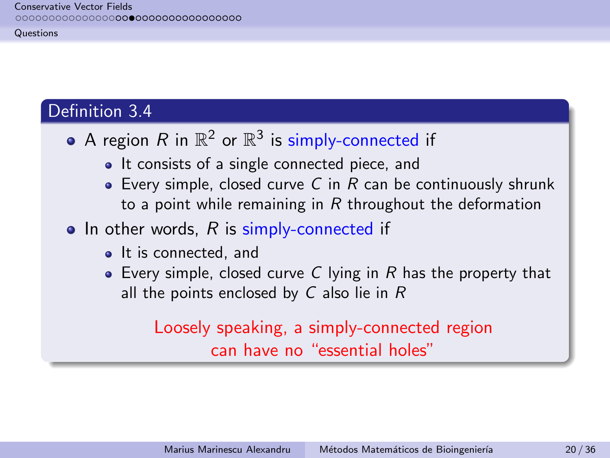**[Questions](#page-17-0)** 

# Definition 3.4

- A region  $R$  in  $\mathbb{R}^2$  or  $\mathbb{R}^3$  is simply-connected if
	- It consists of a single connected piece, and
	- Every simple, closed curve C in R can be continuously shrunk to a point while remaining in  $R$  throughout the deformation
- $\bullet$  In other words, R is simply-connected if
	- It is connected, and
	- Every simple, closed curve C lying in R has the property that all the points enclosed by  $C$  also lie in  $R$

Loosely speaking, a simply-connected region can have no "essential holes"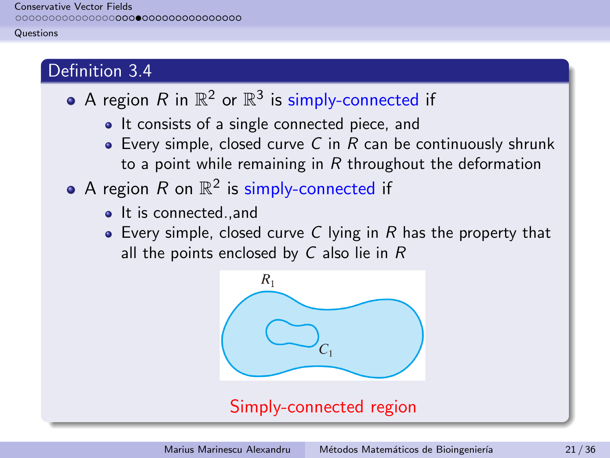#### **[Questions](#page-17-0)**

# Definition 3.4

- A region  $R$  in  $\mathbb{R}^2$  or  $\mathbb{R}^3$  is simply-connected if
	- It consists of a single connected piece, and
	- Every simple, closed curve C in R can be continuously shrunk to a point while remaining in  $R$  throughout the deformation
- A region  $R$  on  $\mathbb{R}^2$  is simply-connected if
	- It is connected., and
	- $\bullet$  Every simple, closed curve C lying in R has the property that all the points enclosed by  $C$  also lie in  $R$

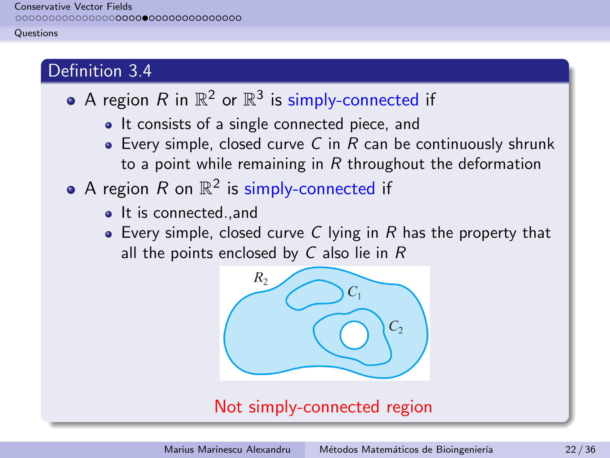#### **[Questions](#page-17-0)**

# Definition 3.4

- A region  $R$  in  $\mathbb{R}^2$  or  $\mathbb{R}^3$  is simply-connected if
	- It consists of a single connected piece, and
	- Every simple, closed curve C in R can be continuously shrunk to a point while remaining in  $R$  throughout the deformation
- A region  $R$  on  $\mathbb{R}^2$  is simply-connected if
	- It is connected., and
	- $\bullet$  Every simple, closed curve C lying in R has the property that all the points enclosed by  $C$  also lie in  $R$



# Not simply-connected region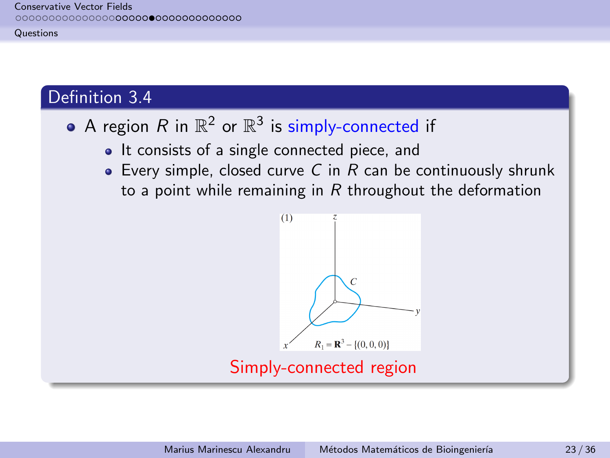#### **[Questions](#page-17-0)**

# Definition 3.4

- A region  $R$  in  $\mathbb{R}^2$  or  $\mathbb{R}^3$  is simply-connected if
	- It consists of a single connected piece, and
	- Every simple, closed curve C in R can be continuously shrunk to a point while remaining in  $R$  throughout the deformation

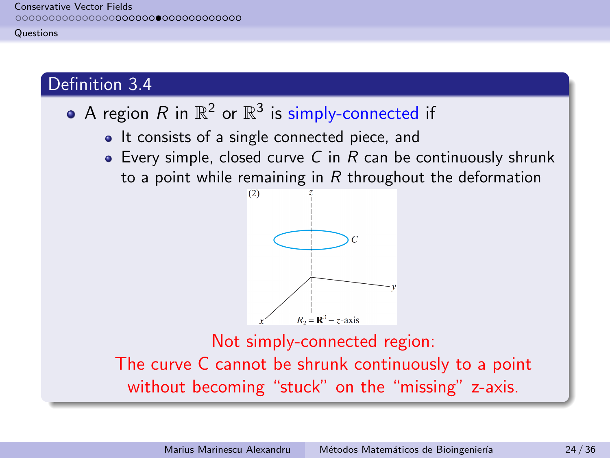#### **[Questions](#page-17-0)**

# Definition 3.4

# A region  $R$  in  $\mathbb{R}^2$  or  $\mathbb{R}^3$  is simply-connected if

- It consists of a single connected piece, and
- Every simple, closed curve C in R can be continuously shrunk to a point while remaining in R throughout the deformation



Not simply-connected region: The curve C cannot be shrunk continuously to a point without becoming "stuck" on the "missing" z-axis.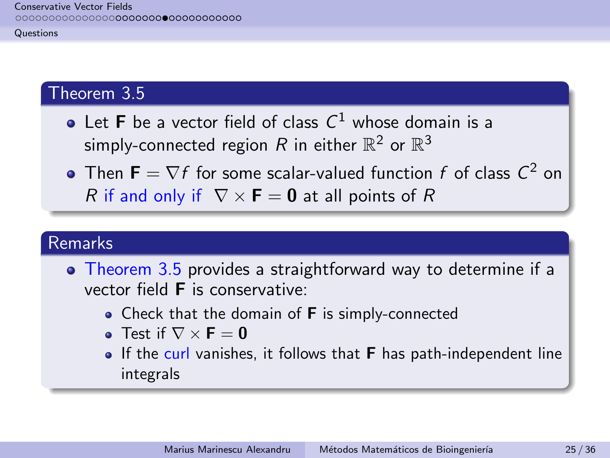**[Questions](#page-17-0)** 

## Theorem 3.5

- Let **F** be a vector field of class  $C^1$  whose domain is a simply-connected region  $R$  in either  $\mathbb{R}^2$  or  $\mathbb{R}^3$
- Then  $\mathbf{F} = \nabla f$  for some scalar-valued function  $f$  of class  $\mathcal{C}^2$  on R if and only if  $\nabla \times \mathbf{F} = \mathbf{0}$  at all points of R

## Remarks

- Theorem 3.5 provides a straightforward way to determine if a vector field F is conservative:
	- Check that the domain of  $F$  is simply-connected
	- Test if  $\nabla \times \mathbf{F} = \mathbf{0}$
	- $\bullet$  If the curl vanishes, it follows that **F** has path-independent line integrals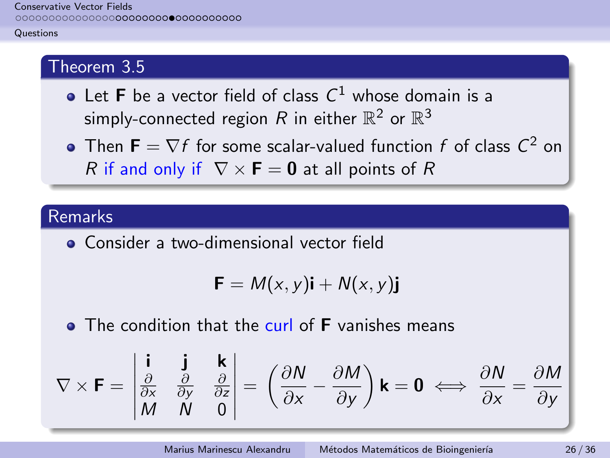#### **[Questions](#page-17-0)**

# Theorem 3.5

- Let **F** be a vector field of class  $C^1$  whose domain is a simply-connected region  $R$  in either  $\mathbb{R}^2$  or  $\mathbb{R}^3$
- Then  $\mathbf{F} = \nabla f$  for some scalar-valued function  $f$  of class  $\mathcal{C}^2$  on R if and only if  $\nabla \times \mathbf{F} = \mathbf{0}$  at all points of R

### Remarks

**• Consider a two-dimensional vector field** 

$$
\mathbf{F} = M(x, y)\mathbf{i} + N(x, y)\mathbf{j}
$$

**• The condition that the curl of F** vanishes means

$$
\nabla \times \mathbf{F} = \begin{vmatrix} \mathbf{i} & \mathbf{j} & \mathbf{k} \\ \frac{\partial}{\partial x} & \frac{\partial}{\partial y} & \frac{\partial}{\partial z} \\ M & N & 0 \end{vmatrix} = \left( \frac{\partial N}{\partial x} - \frac{\partial M}{\partial y} \right) \mathbf{k} = \mathbf{0} \iff \frac{\partial N}{\partial x} = \frac{\partial M}{\partial y}
$$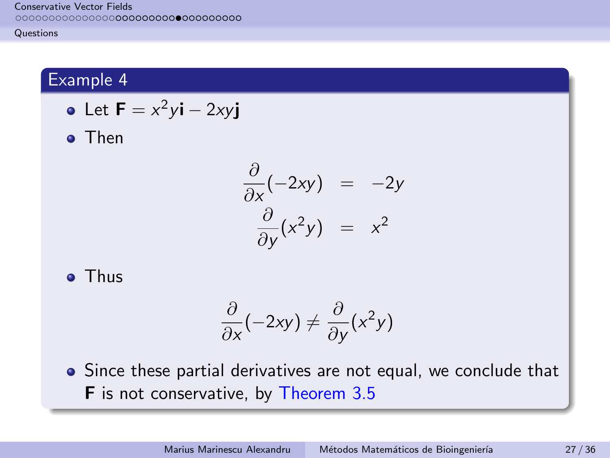#### **[Questions](#page-17-0)**

# Example 4

• Let 
$$
\mathbf{F} = x^2y\mathbf{i} - 2xy\mathbf{j}
$$

**o** Then

$$
\frac{\partial}{\partial x}(-2xy) = -2y
$$
  

$$
\frac{\partial}{\partial y}(x^2y) = x^2
$$

**o** Thus

$$
\frac{\partial}{\partial x}(-2xy) \neq \frac{\partial}{\partial y}(x^2y)
$$

• Since these partial derivatives are not equal, we conclude that F is not conservative, by Theorem 3.5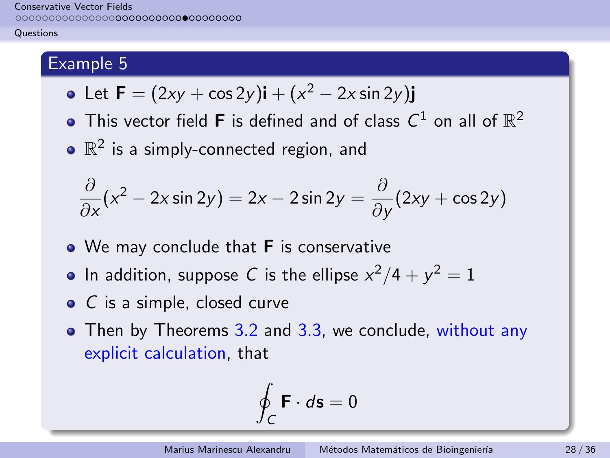#### **[Questions](#page-17-0)**

# Example 5

• Let 
$$
\mathbf{F} = (2xy + \cos 2y)\mathbf{i} + (x^2 - 2x \sin 2y)\mathbf{j}
$$

- This vector field **F** is defined and of class  $C^1$  on all of  $\mathbb{R}^2$
- $\mathbb{R}^2$  is a simply-connected region, and

$$
\frac{\partial}{\partial x}(x^2 - 2x\sin 2y) = 2x - 2\sin 2y = \frac{\partial}{\partial y}(2xy + \cos 2y)
$$

- We may conclude that **F** is conservative
- In addition, suppose C is the ellipse  $x^2/4 + y^2 = 1$
- C is a simple, closed curve
- Then by Theorems 3.2 and 3.3, we conclude, without any explicit calculation, that

$$
\oint_C \mathbf{F} \cdot d\mathbf{s} = 0
$$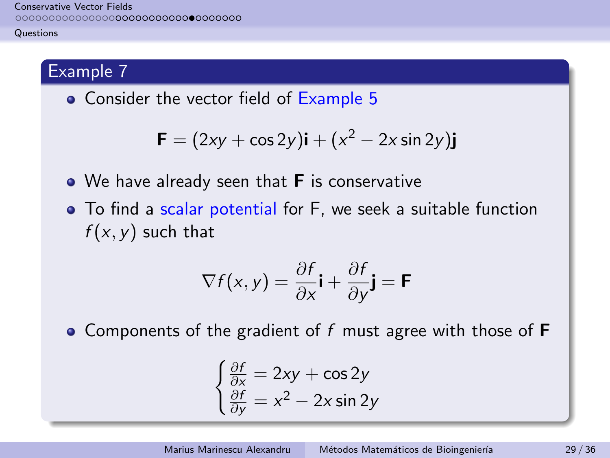#### **[Questions](#page-17-0)**

# Example 7

• Consider the vector field of Example 5

$$
\mathbf{F} = (2xy + \cos 2y)\mathbf{i} + (x^2 - 2x\sin 2y)\mathbf{j}
$$

- We have already seen that **F** is conservative
- To find a scalar potential for F, we seek a suitable function  $f(x, y)$  such that

$$
\nabla f(x, y) = \frac{\partial f}{\partial x} \mathbf{i} + \frac{\partial f}{\partial y} \mathbf{j} = \mathbf{F}
$$

• Components of the gradient of f must agree with those of  $F$ 

$$
\begin{cases} \frac{\partial f}{\partial x} = 2xy + \cos 2y\\ \frac{\partial f}{\partial y} = x^2 - 2x \sin 2y \end{cases}
$$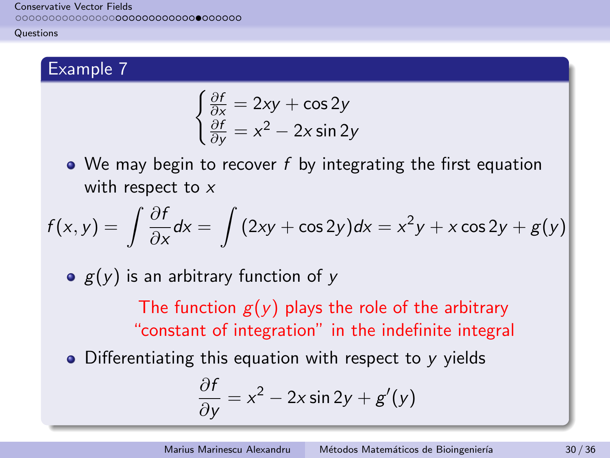#### **[Questions](#page-17-0)**

# Example 7

$$
\begin{cases} \frac{\partial f}{\partial x} = 2xy + \cos 2y\\ \frac{\partial f}{\partial y} = x^2 - 2x \sin 2y \end{cases}
$$

 $\bullet$  We may begin to recover f by integrating the first equation with respect to x

$$
f(x,y) = \int \frac{\partial f}{\partial x} dx = \int (2xy + \cos 2y) dx = x^2y + x \cos 2y + g(y)
$$

 $g(y)$  is an arbitrary function of y

The function  $g(y)$  plays the role of the arbitrary "constant of integration" in the indefinite integral

 $\bullet$  Differentiating this equation with respect to y yields

$$
\frac{\partial f}{\partial y} = x^2 - 2x \sin 2y + g'(y)
$$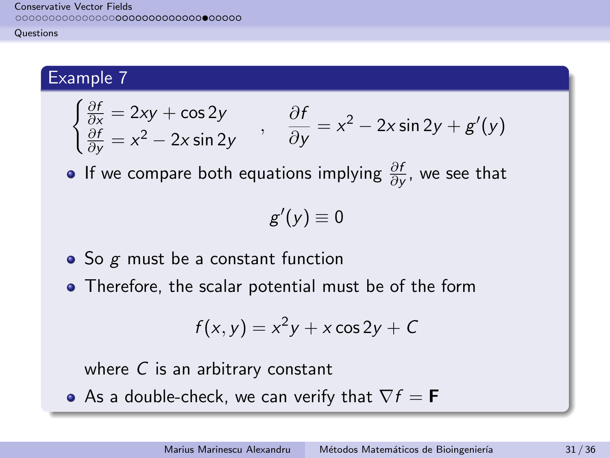#### **[Questions](#page-17-0)**

### Example 7

$$
\begin{cases} \frac{\partial f}{\partial x} = 2xy + \cos 2y \\ \frac{\partial f}{\partial y} = x^2 - 2x \sin 2y \end{cases}, \frac{\partial f}{\partial y} = x^2 - 2x \sin 2y + g'(y)
$$

If we compare both equations implying  $\frac{\partial f}{\partial y}$ , we see that

$$
g'(y)\equiv 0
$$

- $\bullet$  So  $g$  must be a constant function
- Therefore, the scalar potential must be of the form

$$
f(x, y) = x^2y + x\cos 2y + C
$$

where C is an arbitrary constant

• As a double-check, we can verify that  $\nabla f = \mathbf{F}$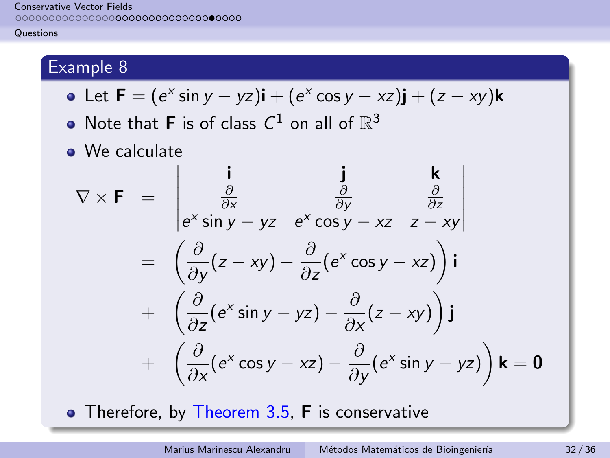#### **[Questions](#page-17-0)**

# Example 8

• Let 
$$
\mathbf{F} = (e^x \sin y - yz)\mathbf{i} + (e^x \cos y - xz)\mathbf{j} + (z - xy)\mathbf{k}
$$

- Note that **F** is of class  $C^1$  on all of  $\mathbb{R}^3$
- We calculate

$$
\nabla \times \mathbf{F} = \begin{vmatrix} \mathbf{i} & \mathbf{j} & \mathbf{k} \\ \frac{\partial}{\partial x} & \frac{\partial}{\partial y} & \frac{\partial}{\partial z} \\ e^{x} \sin y - yz & e^{x} \cos y - xz & z - xy \end{vmatrix}
$$
  
=  $\left( \frac{\partial}{\partial y} (z - xy) - \frac{\partial}{\partial z} (e^{x} \cos y - xz) \right) \mathbf{i}$   
+  $\left( \frac{\partial}{\partial z} (e^{x} \sin y - yz) - \frac{\partial}{\partial x} (z - xy) \right) \mathbf{j}$   
+  $\left( \frac{\partial}{\partial x} (e^{x} \cos y - xz) - \frac{\partial}{\partial y} (e^{x} \sin y - yz) \right) \mathbf{k} = \mathbf{0}$ 

• Therefore, by Theorem 3.5, F is conservative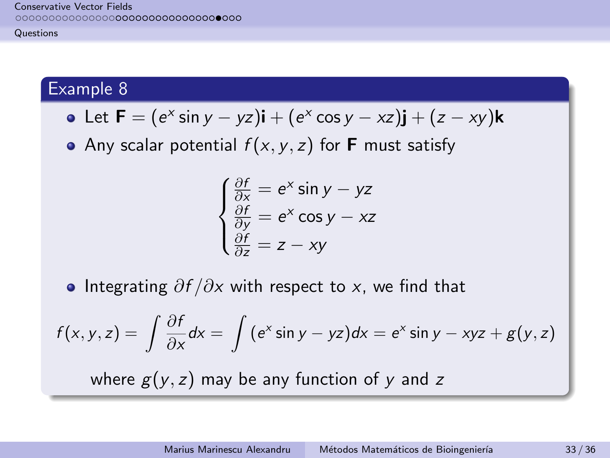#### **[Questions](#page-17-0)**

## Example 8

• Let 
$$
\mathbf{F} = (e^x \sin y - yz)\mathbf{i} + (e^x \cos y - xz)\mathbf{j} + (z - xy)\mathbf{k}
$$

• Any scalar potential  $f(x, y, z)$  for **F** must satisfy

$$
\begin{cases}\n\frac{\partial f}{\partial x} = e^x \sin y - yz \\
\frac{\partial f}{\partial y} = e^x \cos y - xz \\
\frac{\partial f}{\partial z} = z - xy\n\end{cases}
$$

• Integrating  $\partial f / \partial x$  with respect to x, we find that

$$
f(x, y, z) = \int \frac{\partial f}{\partial x} dx = \int (e^{x} \sin y - yz) dx = e^{x} \sin y - xyz + g(y, z)
$$
  
where  $g(y, z)$  may be any function of y and z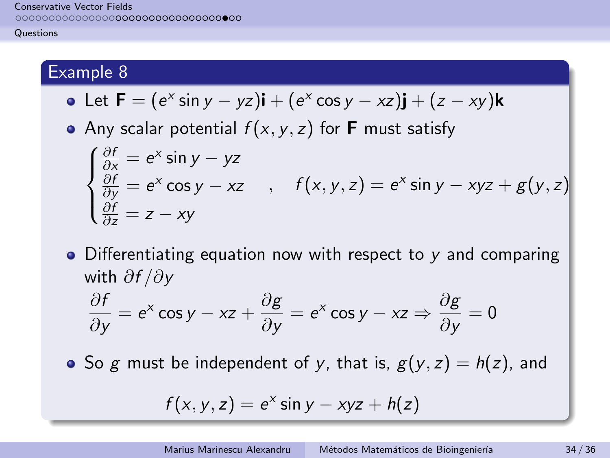#### **[Questions](#page-17-0)**

# Example 8

• Let 
$$
\mathbf{F} = (e^x \sin y - yz)\mathbf{i} + (e^x \cos y - xz)\mathbf{j} + (z - xy)\mathbf{k}
$$

• Any scalar potential  $f(x, y, z)$  for **F** must satisfy

$$
\begin{cases}\n\frac{\partial f}{\partial x} = e^x \sin y - yz \\
\frac{\partial f}{\partial y} = e^x \cos y - xz \\
\frac{\partial f}{\partial z} = z - xy\n\end{cases}, \quad f(x, y, z) = e^x \sin y - xyz + g(y, z)
$$

• Differentiating equation now with respect to y and comparing with ∂f /∂y

$$
\frac{\partial f}{\partial y} = e^x \cos y - xz + \frac{\partial g}{\partial y} = e^x \cos y - xz \Rightarrow \frac{\partial g}{\partial y} = 0
$$

• So g must be independent of y, that is,  $g(y, z) = h(z)$ , and

$$
f(x, y, z) = e^x \sin y - xyz + h(z)
$$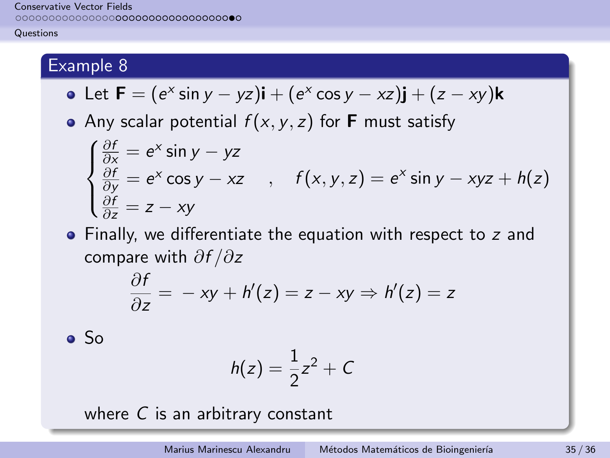#### **[Questions](#page-17-0)**

## Example 8

• Let 
$$
\mathbf{F} = (e^x \sin y - yz)\mathbf{i} + (e^x \cos y - xz)\mathbf{j} + (z - xy)\mathbf{k}
$$

• Any scalar potential  $f(x, y, z)$  for **F** must satisfy

$$
\begin{cases}\n\frac{\partial f}{\partial x} = e^x \sin y - yz \\
\frac{\partial f}{\partial y} = e^x \cos y - xz \\
\frac{\partial f}{\partial z} = z - xy\n\end{cases}, \quad f(x, y, z) = e^x \sin y - xyz + h(z)
$$

• Finally, we differentiate the equation with respect to z and compare with ∂f /∂z

$$
\frac{\partial f}{\partial z} = -xy + h'(z) = z - xy \Rightarrow h'(z) = z
$$

 $\bullet$  So

$$
h(z)=\frac{1}{2}z^2+C
$$

where  $C$  is an arbitrary constant